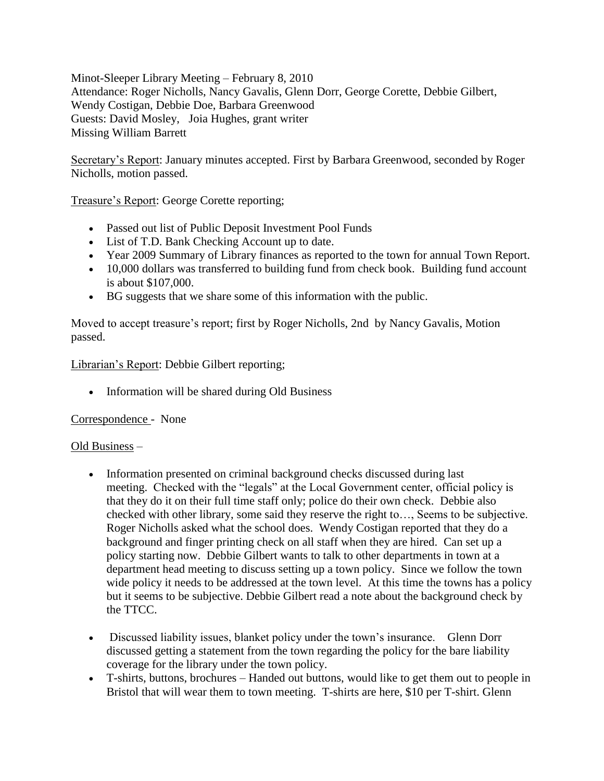Minot-Sleeper Library Meeting – February 8, 2010 Attendance: Roger Nicholls, Nancy Gavalis, Glenn Dorr, George Corette, Debbie Gilbert, Wendy Costigan, Debbie Doe, Barbara Greenwood Guests: David Mosley, Joia Hughes, grant writer Missing William Barrett

Secretary's Report: January minutes accepted. First by Barbara Greenwood, seconded by Roger Nicholls, motion passed.

Treasure's Report: George Corette reporting;

- Passed out list of Public Deposit Investment Pool Funds
- List of T.D. Bank Checking Account up to date.
- Year 2009 Summary of Library finances as reported to the town for annual Town Report.
- 10,000 dollars was transferred to building fund from check book. Building fund account is about \$107,000.
- BG suggests that we share some of this information with the public.

Moved to accept treasure's report; first by Roger Nicholls, 2nd by Nancy Gavalis, Motion passed.

Librarian's Report: Debbie Gilbert reporting;

• Information will be shared during Old Business

## Correspondence - None

## Old Business –

- Information presented on criminal background checks discussed during last meeting. Checked with the "legals" at the Local Government center, official policy is that they do it on their full time staff only; police do their own check. Debbie also checked with other library, some said they reserve the right to…, Seems to be subjective. Roger Nicholls asked what the school does. Wendy Costigan reported that they do a background and finger printing check on all staff when they are hired. Can set up a policy starting now. Debbie Gilbert wants to talk to other departments in town at a department head meeting to discuss setting up a town policy. Since we follow the town wide policy it needs to be addressed at the town level. At this time the towns has a policy but it seems to be subjective. Debbie Gilbert read a note about the background check by the TTCC.
- Discussed liability issues, blanket policy under the town's insurance. Glenn Dorr discussed getting a statement from the town regarding the policy for the bare liability coverage for the library under the town policy.
- T-shirts, buttons, brochures Handed out buttons, would like to get them out to people in Bristol that will wear them to town meeting. T-shirts are here, \$10 per T-shirt. Glenn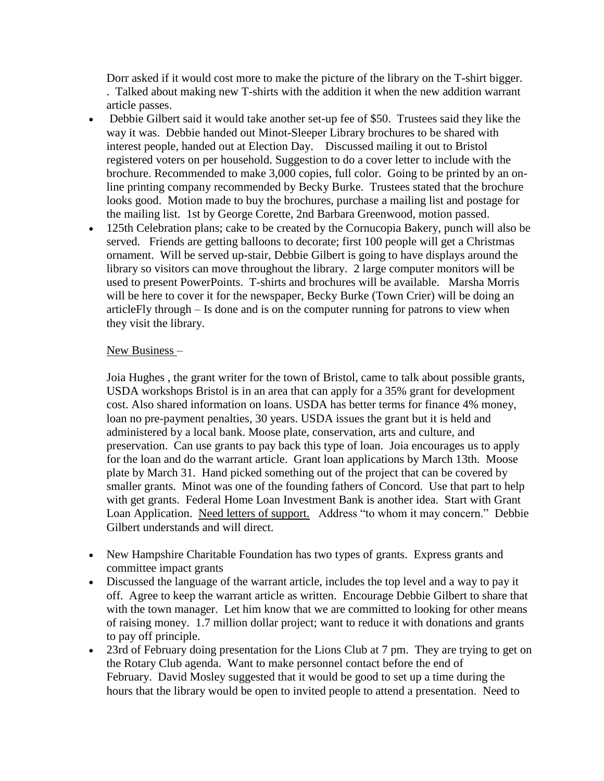Dorr asked if it would cost more to make the picture of the library on the T-shirt bigger. . Talked about making new T-shirts with the addition it when the new addition warrant article passes.

- Debbie Gilbert said it would take another set-up fee of \$50. Trustees said they like the way it was. Debbie handed out Minot-Sleeper Library brochures to be shared with interest people, handed out at Election Day. Discussed mailing it out to Bristol registered voters on per household. Suggestion to do a cover letter to include with the brochure. Recommended to make 3,000 copies, full color. Going to be printed by an online printing company recommended by Becky Burke. Trustees stated that the brochure looks good. Motion made to buy the brochures, purchase a mailing list and postage for the mailing list. 1st by George Corette, 2nd Barbara Greenwood, motion passed.
- 125th Celebration plans; cake to be created by the Cornucopia Bakery, punch will also be served. Friends are getting balloons to decorate; first 100 people will get a Christmas ornament. Will be served up-stair, Debbie Gilbert is going to have displays around the library so visitors can move throughout the library. 2 large computer monitors will be used to present PowerPoints. T-shirts and brochures will be available. Marsha Morris will be here to cover it for the newspaper, Becky Burke (Town Crier) will be doing an articleFly through – Is done and is on the computer running for patrons to view when they visit the library.

## New Business –

Joia Hughes , the grant writer for the town of Bristol, came to talk about possible grants, USDA workshops Bristol is in an area that can apply for a 35% grant for development cost. Also shared information on loans. USDA has better terms for finance 4% money, loan no pre-payment penalties, 30 years. USDA issues the grant but it is held and administered by a local bank. Moose plate, conservation, arts and culture, and preservation. Can use grants to pay back this type of loan. Joia encourages us to apply for the loan and do the warrant article. Grant loan applications by March 13th. Moose plate by March 31. Hand picked something out of the project that can be covered by smaller grants. Minot was one of the founding fathers of Concord. Use that part to help with get grants. Federal Home Loan Investment Bank is another idea. Start with Grant Loan Application. Need letters of support. Address "to whom it may concern." Debbie Gilbert understands and will direct.

- New Hampshire Charitable Foundation has two types of grants. Express grants and committee impact grants
- Discussed the language of the warrant article, includes the top level and a way to pay it off. Agree to keep the warrant article as written. Encourage Debbie Gilbert to share that with the town manager. Let him know that we are committed to looking for other means of raising money. 1.7 million dollar project; want to reduce it with donations and grants to pay off principle.
- 23rd of February doing presentation for the Lions Club at 7 pm. They are trying to get on the Rotary Club agenda. Want to make personnel contact before the end of February. David Mosley suggested that it would be good to set up a time during the hours that the library would be open to invited people to attend a presentation. Need to